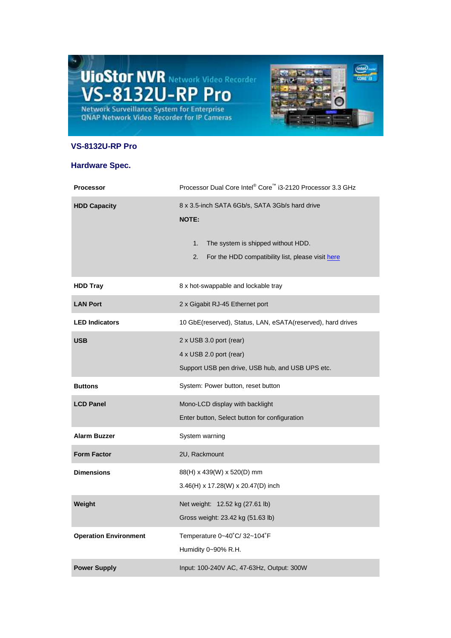## **UioStor NVR Network Video Recorder**<br>VS-8132U-RP Pro Network Surveillance System for Enterprise<br>QNAP Network Video Recorder for IP Cameras



## **VS-8132U-RP Pro**

## **Hardware Spec.**

| <b>Processor</b>             | Processor Dual Core Intel® Core™ i3-2120 Processor 3.3 GHz                                                                                                            |
|------------------------------|-----------------------------------------------------------------------------------------------------------------------------------------------------------------------|
| <b>HDD Capacity</b>          | 8 x 3.5-inch SATA 6Gb/s, SATA 3Gb/s hard drive<br><b>NOTE:</b><br>1.<br>The system is shipped without HDD.<br>2.<br>For the HDD compatibility list, please visit here |
| <b>HDD Tray</b>              | 8 x hot-swappable and lockable tray                                                                                                                                   |
| <b>LAN Port</b>              | 2 x Gigabit RJ-45 Ethernet port                                                                                                                                       |
| <b>LED Indicators</b>        | 10 GbE(reserved), Status, LAN, eSATA(reserved), hard drives                                                                                                           |
| <b>USB</b>                   | 2 x USB 3.0 port (rear)<br>4 x USB 2.0 port (rear)<br>Support USB pen drive, USB hub, and USB UPS etc.                                                                |
| <b>Buttons</b>               | System: Power button, reset button                                                                                                                                    |
| <b>LCD Panel</b>             | Mono-LCD display with backlight                                                                                                                                       |
|                              | Enter button, Select button for configuration                                                                                                                         |
| <b>Alarm Buzzer</b>          | System warning                                                                                                                                                        |
| <b>Form Factor</b>           | 2U, Rackmount                                                                                                                                                         |
| <b>Dimensions</b>            | 88(H) x 439(W) x 520(D) mm<br>3.46(H) x 17.28(W) x 20.47(D) inch                                                                                                      |
| Weight                       | Net weight: 12.52 kg (27.61 lb)<br>Gross weight: 23.42 kg (51.63 lb)                                                                                                  |
| <b>Operation Environment</b> | Temperature $0-40^{\circ}$ C/ 32~104 $^{\circ}$ F<br>Humidity 0~90% R.H.                                                                                              |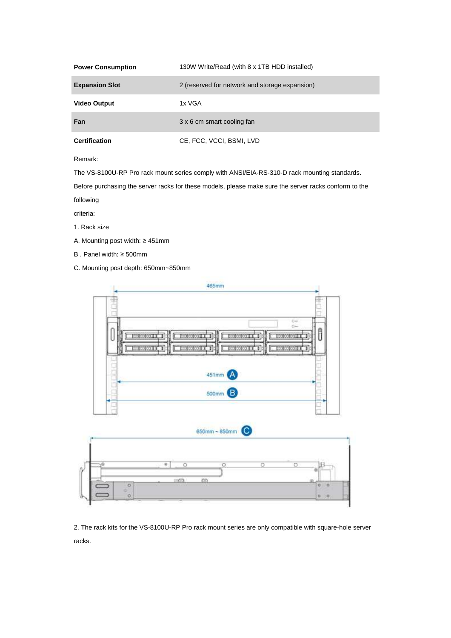| <b>Power Consumption</b> | 130W Write/Read (with 8 x 1TB HDD installed)   |
|--------------------------|------------------------------------------------|
| <b>Expansion Slot</b>    | 2 (reserved for network and storage expansion) |
| <b>Video Output</b>      | 1x VGA                                         |
| Fan                      | 3 x 6 cm smart cooling fan                     |
| <b>Certification</b>     | CE, FCC, VCCI, BSMI, LVD                       |

Remark:

The VS-8100U-RP Pro rack mount series comply with ANSI/EIA-RS-310-D rack mounting standards.

Before purchasing the server racks for these models, please make sure the server racks conform to the

following

criteria:

- 1. Rack size
- A. Mounting post width: ≥ 451mm
- B . Panel width: ≥ 500mm
- C. Mounting post depth: 650mm~850mm



2. The rack kits for the VS-8100U-RP Pro rack mount series are only compatible with square-hole server racks.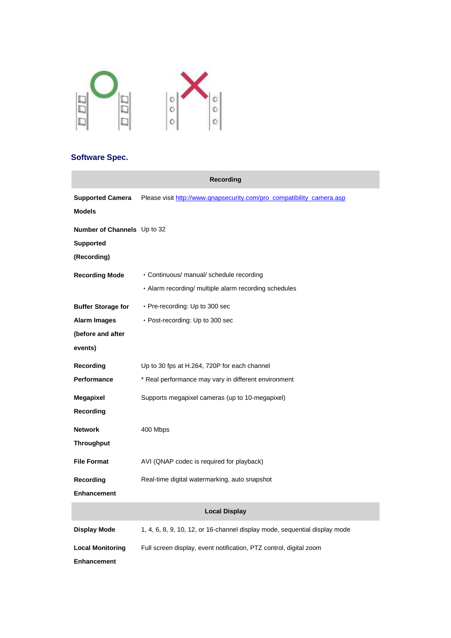

## **Software Spec.**

|                                          | <b>Recording</b>                                                           |
|------------------------------------------|----------------------------------------------------------------------------|
| <b>Supported Camera</b><br><b>Models</b> | Please visit http://www.qnapsecurity.com/pro_compatibility_camera.asp      |
| <b>Number of Channels</b> Up to 32       |                                                                            |
| <b>Supported</b>                         |                                                                            |
| (Recording)                              |                                                                            |
| <b>Recording Mode</b>                    | • Continuous/ manual/ schedule recording                                   |
|                                          | • Alarm recording/ multiple alarm recording schedules                      |
| <b>Buffer Storage for</b>                | $\cdot$ Pre-recording: Up to 300 sec                                       |
| <b>Alarm Images</b>                      | • Post-recording: Up to 300 sec                                            |
| (before and after                        |                                                                            |
| events)                                  |                                                                            |
| Recording                                | Up to 30 fps at H.264, 720P for each channel                               |
| <b>Performance</b>                       | * Real performance may vary in different environment                       |
| Megapixel                                | Supports megapixel cameras (up to 10-megapixel)                            |
| Recording                                |                                                                            |
| <b>Network</b>                           | 400 Mbps                                                                   |
| Throughput                               |                                                                            |
| <b>File Format</b>                       | AVI (QNAP codec is required for playback)                                  |
| Recording                                | Real-time digital watermarking, auto snapshot                              |
| <b>Enhancement</b>                       |                                                                            |
| <b>Local Display</b>                     |                                                                            |
| <b>Display Mode</b>                      | 1, 4, 6, 8, 9, 10, 12, or 16-channel display mode, sequential display mode |
| <b>Local Monitoring</b>                  | Full screen display, event notification, PTZ control, digital zoom         |
| <b>Enhancement</b>                       |                                                                            |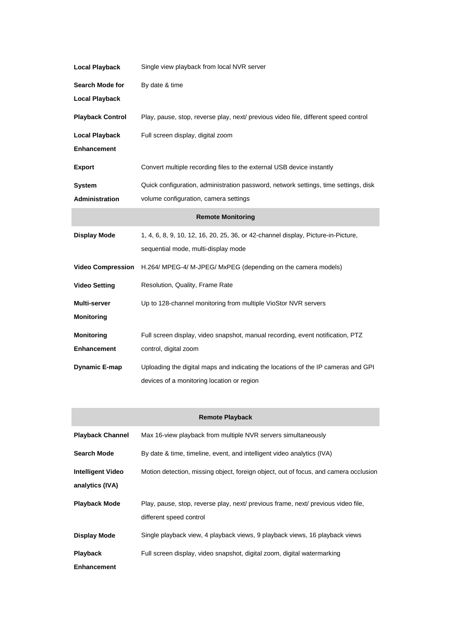| <b>Local Playback</b>    | Single view playback from local NVR server                                          |
|--------------------------|-------------------------------------------------------------------------------------|
| <b>Search Mode for</b>   | By date & time                                                                      |
| <b>Local Playback</b>    |                                                                                     |
| <b>Playback Control</b>  | Play, pause, stop, reverse play, next/ previous video file, different speed control |
| <b>Local Playback</b>    | Full screen display, digital zoom                                                   |
| <b>Enhancement</b>       |                                                                                     |
| <b>Export</b>            | Convert multiple recording files to the external USB device instantly               |
| <b>System</b>            | Quick configuration, administration password, network settings, time settings, disk |
| <b>Administration</b>    | volume configuration, camera settings                                               |
| <b>Remote Monitoring</b> |                                                                                     |
| <b>Display Mode</b>      | 1, 4, 6, 8, 9, 10, 12, 16, 20, 25, 36, or 42-channel display, Picture-in-Picture,   |
|                          | sequential mode, multi-display mode                                                 |
| <b>Video Compression</b> | H.264/ MPEG-4/ M-JPEG/ MxPEG (depending on the camera models)                       |
| <b>Video Setting</b>     | Resolution, Quality, Frame Rate                                                     |
| Multi-server             | Up to 128-channel monitoring from multiple VioStor NVR servers                      |
| <b>Monitoring</b>        |                                                                                     |
| <b>Monitoring</b>        | Full screen display, video snapshot, manual recording, event notification, PTZ      |
| <b>Enhancement</b>       | control, digital zoom                                                               |
| <b>Dynamic E-map</b>     | Uploading the digital maps and indicating the locations of the IP cameras and GPI   |
|                          | devices of a monitoring location or region                                          |

| <b>Remote Playback</b>                      |                                                                                      |  |
|---------------------------------------------|--------------------------------------------------------------------------------------|--|
| <b>Playback Channel</b>                     | Max 16-view playback from multiple NVR servers simultaneously                        |  |
| Search Mode                                 | By date & time, timeline, event, and intelligent video analytics (IVA)               |  |
| <b>Intelligent Video</b><br>analytics (IVA) | Motion detection, missing object, foreign object, out of focus, and camera occlusion |  |
| <b>Playback Mode</b>                        | Play, pause, stop, reverse play, next/ previous frame, next/ previous video file,    |  |
|                                             | different speed control                                                              |  |
| Display Mode                                | Single playback view, 4 playback views, 9 playback views, 16 playback views          |  |
| <b>Playback</b>                             | Full screen display, video snapshot, digital zoom, digital watermarking              |  |
| <b>Enhancement</b>                          |                                                                                      |  |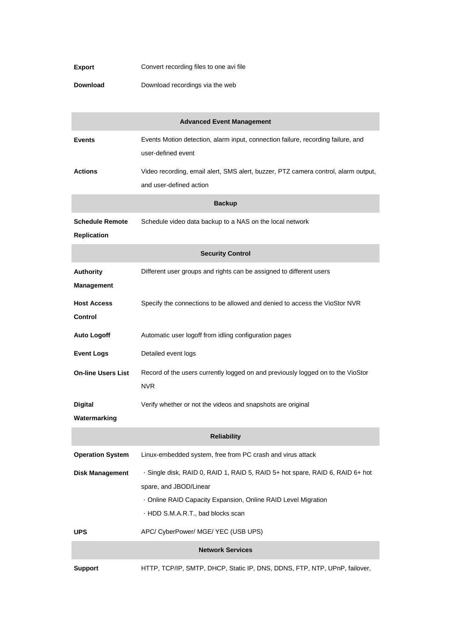| <b>Export</b> | Convert recording files to one avi file |
|---------------|-----------------------------------------|
|---------------|-----------------------------------------|

**Download** Download recordings via the web

| <b>Advanced Event Management</b>             |                                                                                                                                                                                                               |
|----------------------------------------------|---------------------------------------------------------------------------------------------------------------------------------------------------------------------------------------------------------------|
| <b>Events</b>                                | Events Motion detection, alarm input, connection failure, recording failure, and<br>user-defined event                                                                                                        |
| <b>Actions</b>                               | Video recording, email alert, SMS alert, buzzer, PTZ camera control, alarm output,<br>and user-defined action                                                                                                 |
|                                              | <b>Backup</b>                                                                                                                                                                                                 |
| <b>Schedule Remote</b><br><b>Replication</b> | Schedule video data backup to a NAS on the local network                                                                                                                                                      |
|                                              | <b>Security Control</b>                                                                                                                                                                                       |
| <b>Authority</b><br><b>Management</b>        | Different user groups and rights can be assigned to different users                                                                                                                                           |
| <b>Host Access</b><br>Control                | Specify the connections to be allowed and denied to access the VioStor NVR                                                                                                                                    |
| <b>Auto Logoff</b>                           | Automatic user logoff from idling configuration pages                                                                                                                                                         |
| <b>Event Logs</b>                            | Detailed event logs                                                                                                                                                                                           |
| <b>On-line Users List</b>                    | Record of the users currently logged on and previously logged on to the VioStor<br><b>NVR</b>                                                                                                                 |
| <b>Digital</b><br>Watermarking               | Verify whether or not the videos and snapshots are original                                                                                                                                                   |
|                                              | <b>Reliability</b>                                                                                                                                                                                            |
| <b>Operation System</b>                      | Linux-embedded system, free from PC crash and virus attack                                                                                                                                                    |
| <b>Disk Management</b>                       | · Single disk, RAID 0, RAID 1, RAID 5, RAID 5+ hot spare, RAID 6, RAID 6+ hot<br>spare, and JBOD/Linear<br>. Online RAID Capacity Expansion, Online RAID Level Migration<br>· HDD S.M.A.R.T., bad blocks scan |
| <b>UPS</b>                                   | APC/ CyberPower/ MGE/ YEC (USB UPS)                                                                                                                                                                           |
| <b>Network Services</b>                      |                                                                                                                                                                                                               |
| <b>Support</b>                               | HTTP, TCP/IP, SMTP, DHCP, Static IP, DNS, DDNS, FTP, NTP, UPnP, failover,                                                                                                                                     |